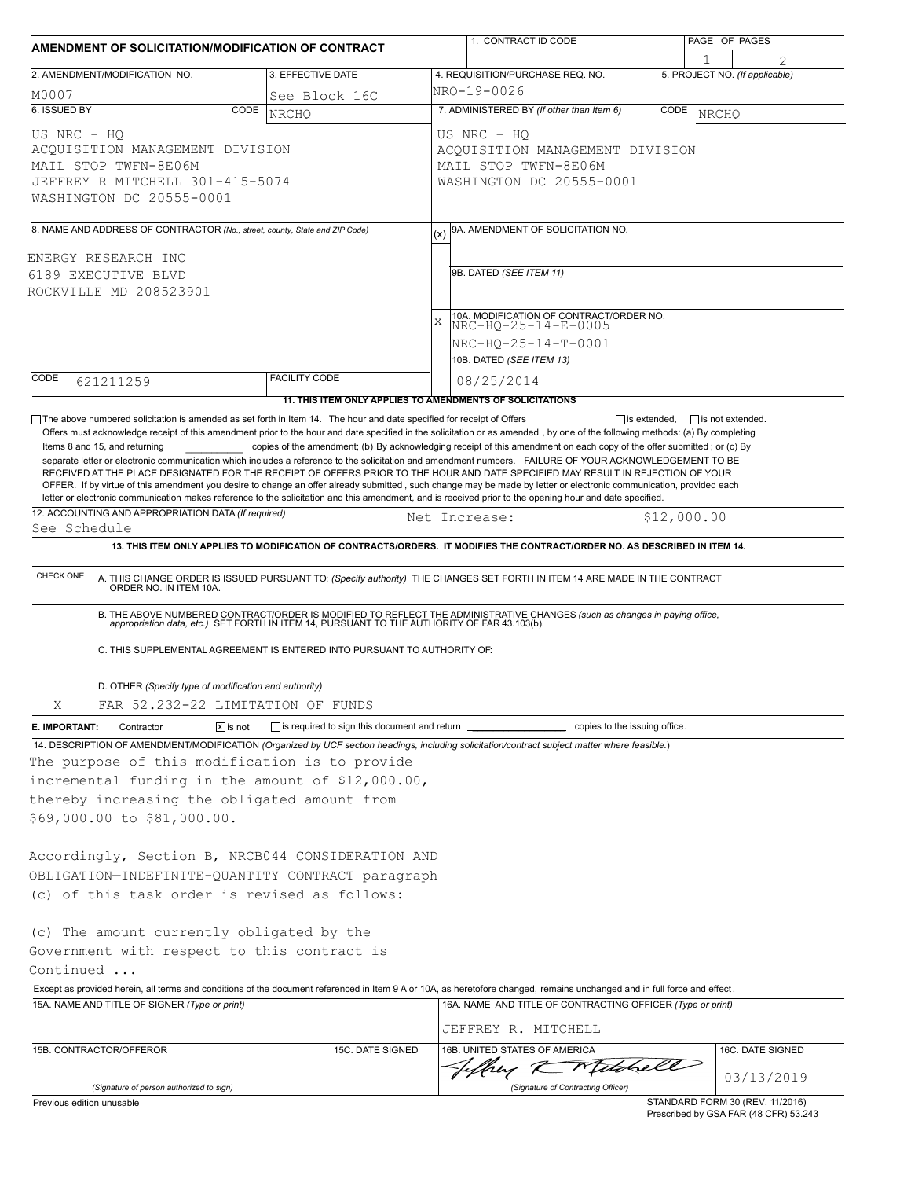| AMENDMENT OF SOLICITATION/MODIFICATION OF CONTRACT                          |                                                                                                                              |                                                     |                  |                                                            | 1. CONTRACT ID CODE                                                                                                                                                                                                                                                                                    |      | PAGE OF PAGES                   |            |  |  |  |
|-----------------------------------------------------------------------------|------------------------------------------------------------------------------------------------------------------------------|-----------------------------------------------------|------------------|------------------------------------------------------------|--------------------------------------------------------------------------------------------------------------------------------------------------------------------------------------------------------------------------------------------------------------------------------------------------------|------|---------------------------------|------------|--|--|--|
|                                                                             |                                                                                                                              |                                                     |                  |                                                            |                                                                                                                                                                                                                                                                                                        |      |                                 |            |  |  |  |
|                                                                             | 2. AMENDMENT/MODIFICATION NO.                                                                                                | 3. EFFECTIVE DATE                                   |                  | 4. REQUISITION/PURCHASE REQ. NO.                           |                                                                                                                                                                                                                                                                                                        |      | 5. PROJECT NO. (If applicable)  |            |  |  |  |
| M0007                                                                       |                                                                                                                              | See Block 16C                                       |                  | INRO-19-0026                                               |                                                                                                                                                                                                                                                                                                        |      |                                 |            |  |  |  |
| 6. ISSUED BY                                                                | CODE                                                                                                                         | <b>NRCHO</b>                                        |                  |                                                            | 7. ADMINISTERED BY (If other than Item 6)                                                                                                                                                                                                                                                              | CODE | <b>NRCHO</b>                    |            |  |  |  |
| US NRC - HO                                                                 |                                                                                                                              |                                                     |                  |                                                            | US NRC - HQ                                                                                                                                                                                                                                                                                            |      |                                 |            |  |  |  |
| ACQUISITION MANAGEMENT DIVISION                                             |                                                                                                                              |                                                     |                  |                                                            | ACOUISITION MANAGEMENT DIVISION                                                                                                                                                                                                                                                                        |      |                                 |            |  |  |  |
| MAIL STOP TWFN-8E06M<br>JEFFREY R MITCHELL 301-415-5074                     |                                                                                                                              |                                                     |                  |                                                            | MAIL STOP TWFN-8E06M<br>WASHINGTON DC 20555-0001                                                                                                                                                                                                                                                       |      |                                 |            |  |  |  |
|                                                                             | WASHINGTON DC 20555-0001                                                                                                     |                                                     |                  |                                                            |                                                                                                                                                                                                                                                                                                        |      |                                 |            |  |  |  |
| 8. NAME AND ADDRESS OF CONTRACTOR (No., street, county, State and ZIP Code) |                                                                                                                              |                                                     |                  |                                                            | 9A. AMENDMENT OF SOLICITATION NO.                                                                                                                                                                                                                                                                      |      |                                 |            |  |  |  |
|                                                                             | ENERGY RESEARCH INC                                                                                                          |                                                     |                  |                                                            |                                                                                                                                                                                                                                                                                                        |      |                                 |            |  |  |  |
| 6189 EXECUTIVE BLVD                                                         |                                                                                                                              |                                                     |                  | 9B. DATED (SEE ITEM 11)                                    |                                                                                                                                                                                                                                                                                                        |      |                                 |            |  |  |  |
|                                                                             | ROCKVILLE MD 208523901                                                                                                       |                                                     |                  |                                                            |                                                                                                                                                                                                                                                                                                        |      |                                 |            |  |  |  |
|                                                                             |                                                                                                                              |                                                     |                  | $\bar{x}$                                                  | 10A. MODIFICATION OF CONTRACT/ORDER NO.                                                                                                                                                                                                                                                                |      |                                 |            |  |  |  |
|                                                                             |                                                                                                                              |                                                     |                  | NRC-HO-25-14-E-0005                                        |                                                                                                                                                                                                                                                                                                        |      |                                 |            |  |  |  |
|                                                                             |                                                                                                                              |                                                     |                  |                                                            | NRC-HQ-25-14-T-0001                                                                                                                                                                                                                                                                                    |      |                                 |            |  |  |  |
|                                                                             |                                                                                                                              | <b>FACILITY CODE</b>                                |                  |                                                            | 10B. DATED (SEE ITEM 13)                                                                                                                                                                                                                                                                               |      |                                 |            |  |  |  |
| CODE                                                                        | 621211259                                                                                                                    |                                                     |                  |                                                            | 08/25/2014                                                                                                                                                                                                                                                                                             |      |                                 |            |  |  |  |
|                                                                             |                                                                                                                              |                                                     |                  |                                                            | 11. THIS ITEM ONLY APPLIES TO AMENDMENTS OF SOLICITATIONS                                                                                                                                                                                                                                              |      |                                 |            |  |  |  |
|                                                                             | $\Box$ The above numbered solicitation is amended as set forth in Item 14. The hour and date specified for receipt of Offers |                                                     |                  |                                                            | $\Box$ is extended,                                                                                                                                                                                                                                                                                    |      | $\Box$ is not extended.         |            |  |  |  |
|                                                                             | Items 8 and 15, and returning                                                                                                |                                                     |                  |                                                            | Offers must acknowledge receipt of this amendment prior to the hour and date specified in the solicitation or as amended, by one of the following methods: (a) By completing<br>copies of the amendment; (b) By acknowledging receipt of this amendment on each copy of the offer submitted; or (c) By |      |                                 |            |  |  |  |
|                                                                             |                                                                                                                              |                                                     |                  |                                                            | separate letter or electronic communication which includes a reference to the solicitation and amendment numbers. FAILURE OF YOUR ACKNOWLEDGEMENT TO BE                                                                                                                                                |      |                                 |            |  |  |  |
|                                                                             |                                                                                                                              |                                                     |                  |                                                            | RECEIVED AT THE PLACE DESIGNATED FOR THE RECEIPT OF OFFERS PRIOR TO THE HOUR AND DATE SPECIFIED MAY RESULT IN REJECTION OF YOUR                                                                                                                                                                        |      |                                 |            |  |  |  |
|                                                                             |                                                                                                                              |                                                     |                  |                                                            | OFFER. If by virtue of this amendment you desire to change an offer already submitted, such change may be made by letter or electronic communication, provided each                                                                                                                                    |      |                                 |            |  |  |  |
|                                                                             | 12. ACCOUNTING AND APPROPRIATION DATA (If required)                                                                          |                                                     |                  |                                                            | letter or electronic communication makes reference to the solicitation and this amendment, and is received prior to the opening hour and date specified.                                                                                                                                               |      |                                 |            |  |  |  |
| See Schedule                                                                |                                                                                                                              |                                                     |                  |                                                            | Net Increase:                                                                                                                                                                                                                                                                                          |      | \$12,000.00                     |            |  |  |  |
|                                                                             |                                                                                                                              |                                                     |                  |                                                            | 13. THIS ITEM ONLY APPLIES TO MODIFICATION OF CONTRACTS/ORDERS. IT MODIFIES THE CONTRACT/ORDER NO. AS DESCRIBED IN ITEM 14.                                                                                                                                                                            |      |                                 |            |  |  |  |
|                                                                             |                                                                                                                              |                                                     |                  |                                                            |                                                                                                                                                                                                                                                                                                        |      |                                 |            |  |  |  |
| CHECK ONE                                                                   |                                                                                                                              |                                                     |                  |                                                            | A. THIS CHANGE ORDER IS ISSUED PURSUANT TO: (Specify authority) THE CHANGES SET FORTH IN ITEM 14 ARE MADE IN THE CONTRACT ORDER NO. IN ITEM 10A.                                                                                                                                                       |      |                                 |            |  |  |  |
|                                                                             |                                                                                                                              |                                                     |                  |                                                            | B. THE ABOVE NUMBERED CONTRACT/ORDER IS MODIFIED TO REFLECT THE ADMINISTRATIVE CHANGES (such as changes in paying office,<br>appropriation data, etc.) SET FORTH IN ITEM 14, PURSUANT TO THE AUTHORITY OF FAR 43.103(b).                                                                               |      |                                 |            |  |  |  |
|                                                                             | C. THIS SUPPLEMENTAL AGREEMENT IS ENTERED INTO PURSUANT TO AUTHORITY OF:                                                     |                                                     |                  |                                                            |                                                                                                                                                                                                                                                                                                        |      |                                 |            |  |  |  |
|                                                                             |                                                                                                                              |                                                     |                  |                                                            |                                                                                                                                                                                                                                                                                                        |      |                                 |            |  |  |  |
|                                                                             | D. OTHER (Specify type of modification and authority)                                                                        |                                                     |                  |                                                            |                                                                                                                                                                                                                                                                                                        |      |                                 |            |  |  |  |
|                                                                             |                                                                                                                              |                                                     |                  |                                                            |                                                                                                                                                                                                                                                                                                        |      |                                 |            |  |  |  |
| Χ                                                                           | FAR 52.232-22 LIMITATION OF FUNDS                                                                                            |                                                     |                  |                                                            |                                                                                                                                                                                                                                                                                                        |      |                                 |            |  |  |  |
| E. IMPORTANT:                                                               | Contractor<br>$\sqrt{x}$ is not                                                                                              | is required to sign this document and return ______ |                  |                                                            | copies to the issuing office.                                                                                                                                                                                                                                                                          |      |                                 |            |  |  |  |
|                                                                             |                                                                                                                              |                                                     |                  |                                                            | 14. DESCRIPTION OF AMENDMENT/MODIFICATION (Organized by UCF section headings, including solicitation/contract subject matter where feasible.)                                                                                                                                                          |      |                                 |            |  |  |  |
|                                                                             | The purpose of this modification is to provide                                                                               |                                                     |                  |                                                            |                                                                                                                                                                                                                                                                                                        |      |                                 |            |  |  |  |
|                                                                             | incremental funding in the amount of \$12,000.00,                                                                            |                                                     |                  |                                                            |                                                                                                                                                                                                                                                                                                        |      |                                 |            |  |  |  |
|                                                                             | thereby increasing the obligated amount from                                                                                 |                                                     |                  |                                                            |                                                                                                                                                                                                                                                                                                        |      |                                 |            |  |  |  |
|                                                                             | \$69,000.00 to \$81,000.00.                                                                                                  |                                                     |                  |                                                            |                                                                                                                                                                                                                                                                                                        |      |                                 |            |  |  |  |
|                                                                             |                                                                                                                              |                                                     |                  |                                                            |                                                                                                                                                                                                                                                                                                        |      |                                 |            |  |  |  |
|                                                                             | Accordingly, Section B, NRCB044 CONSIDERATION AND                                                                            |                                                     |                  |                                                            |                                                                                                                                                                                                                                                                                                        |      |                                 |            |  |  |  |
|                                                                             |                                                                                                                              |                                                     |                  |                                                            |                                                                                                                                                                                                                                                                                                        |      |                                 |            |  |  |  |
|                                                                             | OBLIGATION-INDEFINITE-QUANTITY CONTRACT paragraph                                                                            |                                                     |                  |                                                            |                                                                                                                                                                                                                                                                                                        |      |                                 |            |  |  |  |
|                                                                             | (c) of this task order is revised as follows:                                                                                |                                                     |                  |                                                            |                                                                                                                                                                                                                                                                                                        |      |                                 |            |  |  |  |
|                                                                             |                                                                                                                              |                                                     |                  |                                                            |                                                                                                                                                                                                                                                                                                        |      |                                 |            |  |  |  |
|                                                                             | (c) The amount currently obligated by the                                                                                    |                                                     |                  |                                                            |                                                                                                                                                                                                                                                                                                        |      |                                 |            |  |  |  |
|                                                                             | Government with respect to this contract is                                                                                  |                                                     |                  |                                                            |                                                                                                                                                                                                                                                                                                        |      |                                 |            |  |  |  |
| Continued                                                                   |                                                                                                                              |                                                     |                  |                                                            |                                                                                                                                                                                                                                                                                                        |      |                                 |            |  |  |  |
|                                                                             |                                                                                                                              |                                                     |                  |                                                            | Except as provided herein, all terms and conditions of the document referenced in Item 9 A or 10A, as heretofore changed, remains unchanged and in full force and effect.                                                                                                                              |      |                                 |            |  |  |  |
| 15A. NAME AND TITLE OF SIGNER (Type or print)                               |                                                                                                                              |                                                     |                  | 16A. NAME AND TITLE OF CONTRACTING OFFICER (Type or print) |                                                                                                                                                                                                                                                                                                        |      |                                 |            |  |  |  |
|                                                                             |                                                                                                                              |                                                     |                  |                                                            |                                                                                                                                                                                                                                                                                                        |      |                                 |            |  |  |  |
|                                                                             |                                                                                                                              |                                                     |                  |                                                            | JEFFREY R. MITCHELL                                                                                                                                                                                                                                                                                    |      |                                 |            |  |  |  |
|                                                                             | 15B. CONTRACTOR/OFFEROR                                                                                                      |                                                     | 15C. DATE SIGNED |                                                            | 16B. UNITED STATES OF AMERICA                                                                                                                                                                                                                                                                          |      | 16C. DATE SIGNED                |            |  |  |  |
|                                                                             |                                                                                                                              |                                                     |                  |                                                            | they K Mitche                                                                                                                                                                                                                                                                                          |      |                                 | 03/13/2019 |  |  |  |
|                                                                             | (Signature of person authorized to sign)                                                                                     |                                                     |                  |                                                            | (Signature of Contracting Officer)                                                                                                                                                                                                                                                                     |      |                                 |            |  |  |  |
| Previous edition unusable                                                   |                                                                                                                              |                                                     |                  |                                                            |                                                                                                                                                                                                                                                                                                        |      | STANDARD FORM 30 (REV. 11/2016) |            |  |  |  |

Prescribed by GSA FAR (48 CFR) 53.243